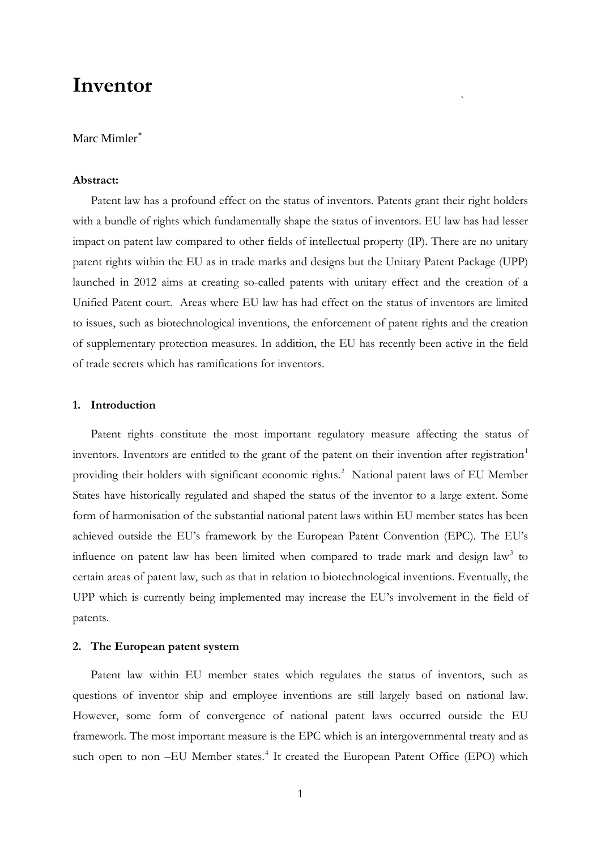# **Inventor**

# Marc Mimler<sup>\*</sup>

## **Abstract:**

Patent law has a profound effect on the status of inventors. Patents grant their right holders with a bundle of rights which fundamentally shape the status of inventors. EU law has had lesser impact on patent law compared to other fields of intellectual property (IP). There are no unitary patent rights within the EU as in trade marks and designs but the Unitary Patent Package (UPP) launched in 2012 aims at creating so-called patents with unitary effect and the creation of a Unified Patent court. Areas where EU law has had effect on the status of inventors are limited to issues, such as biotechnological inventions, the enforcement of patent rights and the creation of supplementary protection measures. In addition, the EU has recently been active in the field of trade secrets which has ramifications for inventors.

#### **1. Introduction**

Patent rights constitute the most important regulatory measure affecting the status of inventors. Inventors are entitled to the grant of the patent on their invention after registration<sup>[1](#page-4-1)</sup> providing their holders with significant economic rights.<sup>[2](#page-4-2)</sup> National patent laws of EU Member States have historically regulated and shaped the status of the inventor to a large extent. Some form of harmonisation of the substantial national patent laws within EU member states has been achieved outside the EU's framework by the European Patent Convention (EPC). The EU's influence on patent law has been limited when compared to trade mark and design law<sup>[3](#page-4-3)</sup> to certain areas of patent law, such as that in relation to biotechnological inventions. Eventually, the UPP which is currently being implemented may increase the EU's involvement in the field of patents.

## **2. The European patent system**

Patent law within EU member states which regulates the status of inventors, such as questions of inventor ship and employee inventions are still largely based on national law. However, some form of convergence of national patent laws occurred outside the EU framework. The most important measure is the EPC which is an intergovernmental treaty and as such open to non -EU Member states.<sup>[4](#page-4-4)</sup> It created the European Patent Office (EPO) which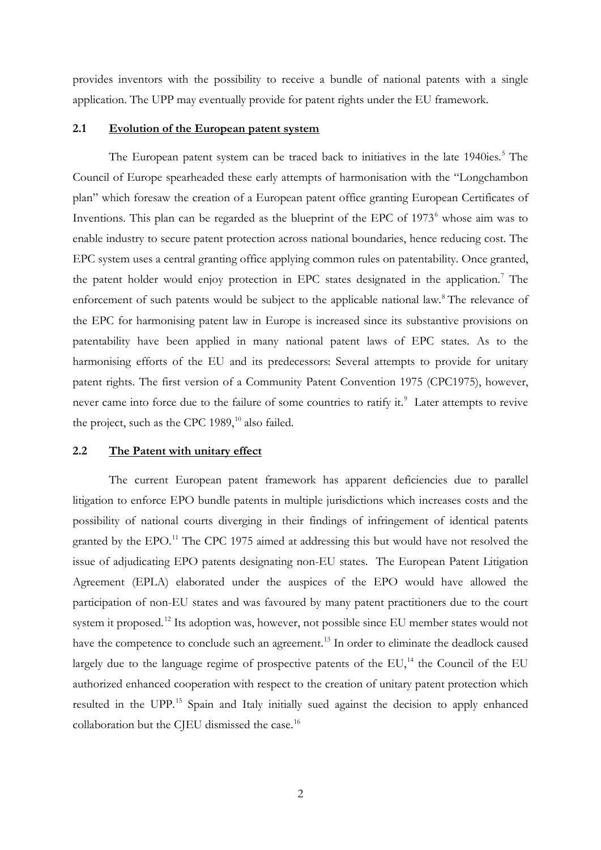provides inventors with the possibility to receive a bundle of national patents with a single application. The UPP may eventually provide for patent rights under the EU framework.

## **2.1 Evolution of the European patent system**

The European patent system can be traced back to initiatives in the late 1940ies.<sup>[5](#page-5-0)</sup> The Council of Europe spearheaded these early attempts of harmonisation with the "Longchambon plan" which foresaw the creation of a European patent office granting European Certificates of Inventions. This plan can be regarded as the blueprint of the EPC of 1973<sup>[6](#page-5-1)</sup> whose aim was to enable industry to secure patent protection across national boundaries, hence reducing cost. The EPC system uses a central granting office applying common rules on patentability. Once granted, the patent holder would enjoy protection in EPC states designated in the application.<sup>[7](#page-5-2)</sup> The enforcement of such patents would be subject to the applicable national law.<sup>[8](#page-5-3)</sup> The relevance of the EPC for harmonising patent law in Europe is increased since its substantive provisions on patentability have been applied in many national patent laws of EPC states. As to the harmonising efforts of the EU and its predecessors: Several attempts to provide for unitary patent rights. The first version of a Community Patent Convention 1975 (CPC1975), however, never came into force due to the failure of some countries to ratify it.<sup>[9](#page-5-4)</sup> Later attempts to revive the project, such as the CPC 1989,<sup>[10](#page-5-5)</sup> also failed.

#### **2.2 The Patent with unitary effect**

The current European patent framework has apparent deficiencies due to parallel litigation to enforce EPO bundle patents in multiple jurisdictions which increases costs and the possibility of national courts diverging in their findings of infringement of identical patents granted by the EPO.<sup>11</sup> The CPC 1975 aimed at addressing this but would have not resolved the issue of adjudicating EPO patents designating non-EU states. The European Patent Litigation Agreement (EPLA) elaborated under the auspices of the EPO would have allowed the participation of non-EU states and was favoured by many patent practitioners due to the court system it proposed.[12](#page-5-7) Its adoption was, however, not possible since EU member states would not have the competence to conclude such an agreement.<sup>[13](#page-5-8)</sup> In order to eliminate the deadlock caused largely due to the language regime of prospective patents of the EU, $^{14}$  $^{14}$  $^{14}$  the Council of the EU authorized enhanced cooperation with respect to the creation of unitary patent protection which resulted in the UPP.<sup>[15](#page-5-10)</sup> Spain and Italy initially sued against the decision to apply enhanced collaboration but the CIEU dismissed the case.<sup>16</sup>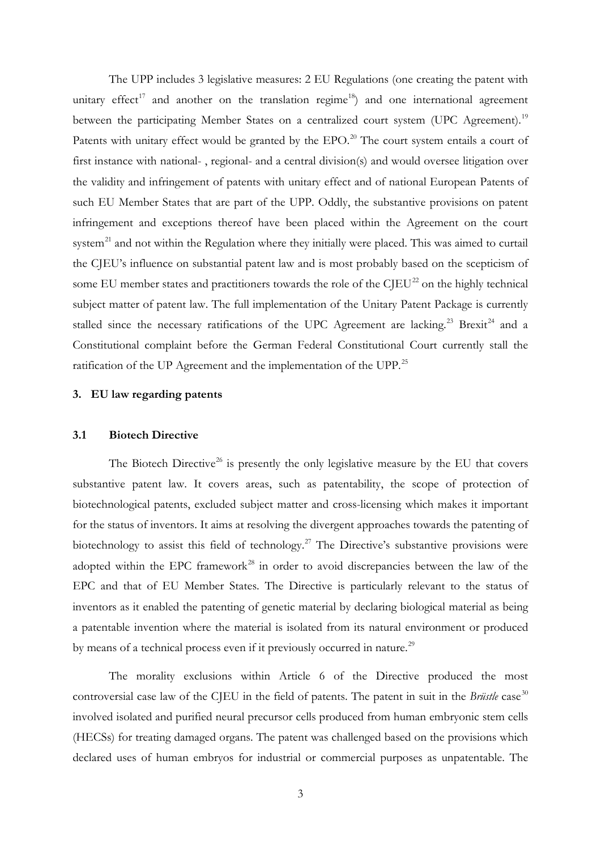The UPP includes 3 legislative measures: 2 EU Regulations (one creating the patent with unitary effect<sup>[17](#page-6-0)</sup> and another on the translation regime<sup>18</sup>) and one international agreement between the participating Member States on a centralized court system (UPC Agreement).<sup>[19](#page-6-2)</sup> Patents with unitary effect would be granted by the  $EPO.^{20}$  $EPO.^{20}$  $EPO.^{20}$  The court system entails a court of first instance with national- , regional- and a central division(s) and would oversee litigation over the validity and infringement of patents with unitary effect and of national European Patents of such EU Member States that are part of the UPP. Oddly, the substantive provisions on patent infringement and exceptions thereof have been placed within the Agreement on the court system<sup>[21](#page-6-4)</sup> and not within the Regulation where they initially were placed. This was aimed to curtail the CJEU's influence on substantial patent law and is most probably based on the scepticism of some EU member states and practitioners towards the role of the CJEU<sup>[22](#page-6-5)</sup> on the highly technical subject matter of patent law. The full implementation of the Unitary Patent Package is currently stalled since the necessary ratifications of the UPC Agreement are lacking.<sup>[23](#page-6-6)</sup> Brexit<sup>[24](#page-6-7)</sup> and a Constitutional complaint before the German Federal Constitutional Court currently stall the ratification of the UP Agreement and the implementation of the UPP.<sup>[25](#page-6-8)</sup>

## **3. EU law regarding patents**

### **3.1 Biotech Directive**

The Biotech Directive<sup>[26](#page-6-9)</sup> is presently the only legislative measure by the EU that covers substantive patent law. It covers areas, such as patentability, the scope of protection of biotechnological patents, excluded subject matter and cross-licensing which makes it important for the status of inventors. It aims at resolving the divergent approaches towards the patenting of biotechnology to assist this field of technology.<sup>[27](#page-6-10)</sup> The Directive's substantive provisions were adopted within the EPC framework<sup>[28](#page-6-11)</sup> in order to avoid discrepancies between the law of the EPC and that of EU Member States. The Directive is particularly relevant to the status of inventors as it enabled the patenting of genetic material by declaring biological material as being a patentable invention where the material is isolated from its natural environment or produced by means of a technical process even if it previously occurred in nature.<sup>[29](#page-6-12)</sup>

The morality exclusions within Article 6 of the Directive produced the most controversial case law of the CJEU in the field of patents. The patent in suit in the *Brüstle* case [30](#page-6-13) involved isolated and purified neural precursor cells produced from human embryonic stem cells (HECSs) for treating damaged organs. The patent was challenged based on the provisions which declared uses of human embryos for industrial or commercial purposes as unpatentable. The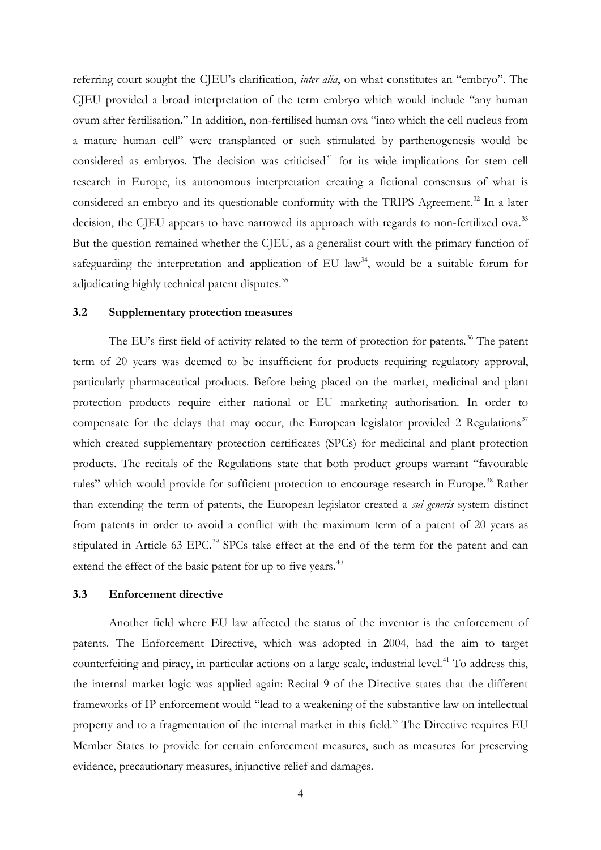referring court sought the CJEU's clarification, *inter alia*, on what constitutes an "embryo". The CJEU provided a broad interpretation of the term embryo which would include "any human ovum after fertilisation." In addition, non-fertilised human ova "into which the cell nucleus from a mature human cell" were transplanted or such stimulated by parthenogenesis would be considered as embryos. The decision was criticised $31$  for its wide implications for stem cell research in Europe, its autonomous interpretation creating a fictional consensus of what is considered an embryo and its questionable conformity with the TRIPS Agreement.<sup>[32](#page-6-15)</sup> In a later decision, the CJEU appears to have narrowed its approach with regards to non-fertilized ova.<sup>[33](#page-6-16)</sup> But the question remained whether the CJEU, as a generalist court with the primary function of safeguarding the interpretation and application of EU law<sup>[34](#page-6-17)</sup>, would be a suitable forum for adjudicating highly technical patent disputes.<sup>[35](#page-6-18)</sup>

# **3.2 Supplementary protection measures**

The EU's first field of activity related to the term of protection for patents.<sup>[36](#page-6-19)</sup> The patent term of 20 years was deemed to be insufficient for products requiring regulatory approval, particularly pharmaceutical products. Before being placed on the market, medicinal and plant protection products require either national or EU marketing authorisation. In order to compensate for the delays that may occur, the European legislator provided 2 Regulations<sup>[37](#page-6-20)</sup> which created supplementary protection certificates (SPCs) for medicinal and plant protection products. The recitals of the Regulations state that both product groups warrant "favourable rules" which would provide for sufficient protection to encourage research in Europe.<sup>[38](#page-6-21)</sup> Rather than extending the term of patents, the European legislator created a *sui generis* system distinct from patents in order to avoid a conflict with the maximum term of a patent of 20 years as stipulated in Article 63 EPC.<sup>[39](#page-6-22)</sup> SPCs take effect at the end of the term for the patent and can extend the effect of the basic patent for up to five years.<sup>[40](#page-6-23)</sup>

### **3.3 Enforcement directive**

Another field where EU law affected the status of the inventor is the enforcement of patents. The Enforcement Directive, which was adopted in 2004, had the aim to target counterfeiting and piracy, in particular actions on a large scale, industrial level. [41](#page-6-24) To address this, the internal market logic was applied again: Recital 9 of the Directive states that the different frameworks of IP enforcement would "lead to a weakening of the substantive law on intellectual property and to a fragmentation of the internal market in this field." The Directive requires EU Member States to provide for certain enforcement measures, such as measures for preserving evidence, precautionary measures, injunctive relief and damages.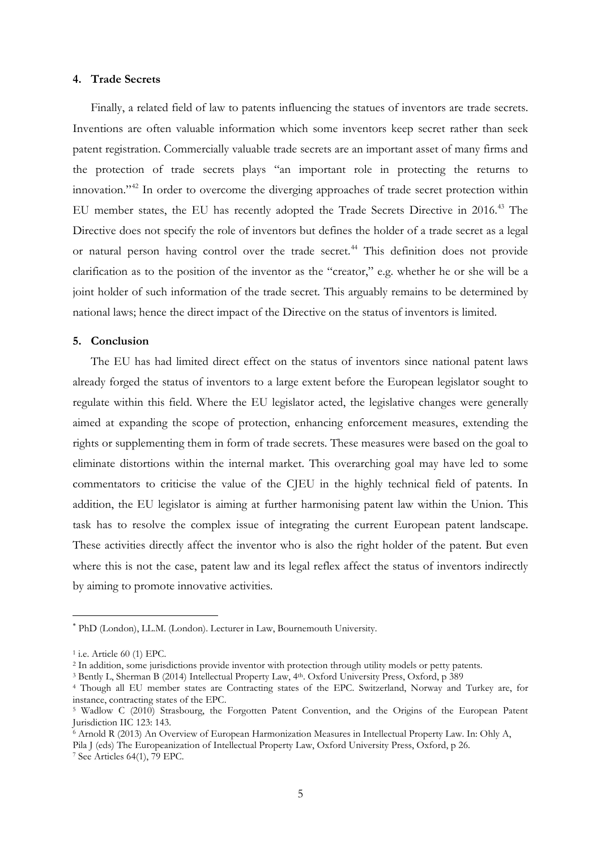#### **4. Trade Secrets**

Finally, a related field of law to patents influencing the statues of inventors are trade secrets. Inventions are often valuable information which some inventors keep secret rather than seek patent registration. Commercially valuable trade secrets are an important asset of many firms and the protection of trade secrets plays "an important role in protecting the returns to innovation."<sup>[42](#page-6-25)</sup> In order to overcome the diverging approaches of trade secret protection within EU member states, the EU has recently adopted the Trade Secrets Directive in 2016. [43](#page-6-26) The Directive does not specify the role of inventors but defines the holder of a trade secret as a legal or natural person having control over the trade secret.<sup>[44](#page-6-27)</sup> This definition does not provide clarification as to the position of the inventor as the "creator," e.g. whether he or she will be a joint holder of such information of the trade secret. This arguably remains to be determined by national laws; hence the direct impact of the Directive on the status of inventors is limited.

## **5. Conclusion**

The EU has had limited direct effect on the status of inventors since national patent laws already forged the status of inventors to a large extent before the European legislator sought to regulate within this field. Where the EU legislator acted, the legislative changes were generally aimed at expanding the scope of protection, enhancing enforcement measures, extending the rights or supplementing them in form of trade secrets. These measures were based on the goal to eliminate distortions within the internal market. This overarching goal may have led to some commentators to criticise the value of the CJEU in the highly technical field of patents. In addition, the EU legislator is aiming at further harmonising patent law within the Union. This task has to resolve the complex issue of integrating the current European patent landscape. These activities directly affect the inventor who is also the right holder of the patent. But even where this is not the case, patent law and its legal reflex affect the status of inventors indirectly by aiming to promote innovative activities.

<u>.</u>

Pila J (eds) The Europeanization of Intellectual Property Law, Oxford University Press, Oxford, p 26.

<sup>7</sup> See Articles 64(1), 79 EPC.

<span id="page-4-0"></span><sup>∗</sup> PhD (London), LL.M. (London). Lecturer in Law, Bournemouth University.

<span id="page-4-1"></span><sup>1</sup> i.e. Article 60 (1) EPC.

<span id="page-4-2"></span><sup>2</sup> In addition, some jurisdictions provide inventor with protection through utility models or petty patents.

<span id="page-4-3"></span><sup>&</sup>lt;sup>3</sup> Bently L, Sherman B (2014) Intellectual Property Law, 4<sup>th</sup>. Oxford University Press, Oxford, p 389<br><sup>4</sup> Though all EU member states are Contracting states of the EPC. Switzerland, Norway and Turkey are, for

<span id="page-4-4"></span>instance, contracting states of the EPC.

<sup>5</sup> Wadlow C (2010) Strasbourg, the Forgotten Patent Convention, and the Origins of the European Patent Jurisdiction IIC 123: 143.

 $\overline{6}$  Arnold R (2013) An Overview of European Harmonization Measures in Intellectual Property Law. In: Ohly A,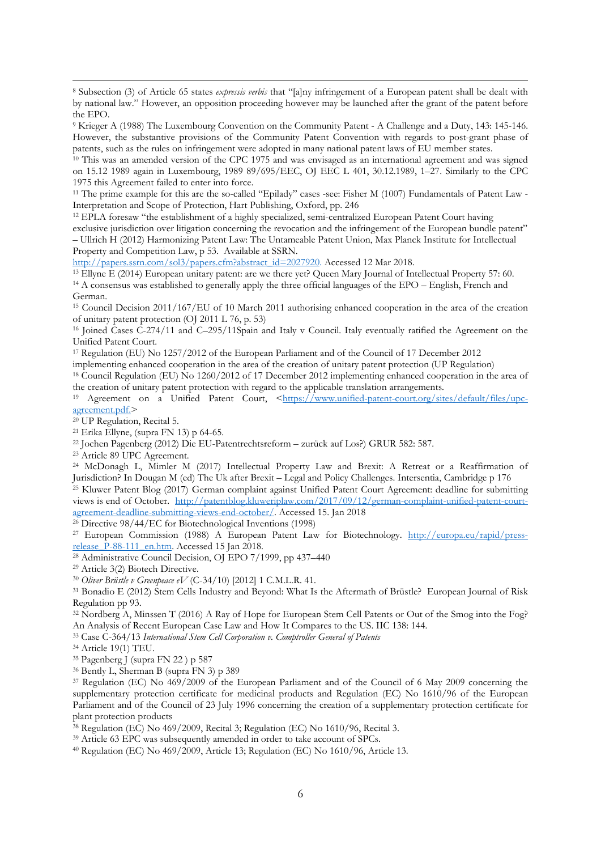<span id="page-5-3"></span> 8 Subsection (3) of Article 65 states *expressis verbis* that "[a]ny infringement of a European patent shall be dealt with by national law." However, an opposition proceeding however may be launched after the grant of the patent before the EPO.

<span id="page-5-4"></span><sup>9</sup> Krieger A (1988) The Luxembourg Convention on the Community Patent - A Challenge and a Duty, 143: 145-146. However, the substantive provisions of the Community Patent Convention with regards to post-grant phase of patents, such as the rules on infringement were adopted in many national patent laws of EU member states.

<span id="page-5-5"></span><sup>10</sup> This was an amended version of the CPC 1975 and was envisaged as an international agreement and was signed on 15.12 1989 again in Luxembourg, 1989 89/695/EEC, OJ EEC L 401, 30.12.1989, 1–27. Similarly to the CPC

<span id="page-5-6"></span><sup>11</sup> The prime example for this are the so-called "Epilady" cases -see: Fisher M (1007) Fundamentals of Patent Law -Interpretation and Scope of Protection, Hart Publishing, Oxford, pp. 246

<span id="page-5-7"></span><sup>12</sup> EPLA foresaw "the establishment of a highly specialized, semi-centralized European Patent Court having exclusive jurisdiction over litigation concerning the revocation and the infringement of the European bundle patent" – Ullrich H (2012) Harmonizing Patent Law: The Untameable Patent Union, Max Planck Institute for Intellectual Property and Competition Law, p 53. Available at SSRN.

[http://papers.ssrn.com/sol3/papers.cfm?abstract\\_id=2027920.](http://papers.ssrn.com/sol3/papers.cfm?abstract_id=2027920) Accessed 12 Mar 2018.

<span id="page-5-9"></span><span id="page-5-8"></span><sup>13</sup> Ellyne E (2014) European unitary patent: are we there yet? Queen Mary Journal of Intellectual Property 57: 60. <sup>14</sup> A consensus was established to generally apply the three official languages of the EPO – English, French and German.

<span id="page-5-10"></span><sup>15</sup> Council Decision 2011/167/EU of 10 March 2011 authorising enhanced cooperation in the area of the creation of unitary patent protection (OJ 2011 L 76, p. 53)

<span id="page-5-11"></span><sup>16</sup> Joined Cases C-274/11 and C-295/11Spain and Italy v Council. Italy eventually ratified the Agreement on the Unified Patent Court.

<sup>17</sup> Regulation (EU) No 1257/2012 of the European Parliament and of the Council of 17 December 2012

implementing enhanced cooperation in the area of the creation of unitary patent protection (UP Regulation)

<sup>18</sup> Council Regulation (EU) No 1260/2012 of 17 December 2012 implementing enhanced cooperation in the area of the creation of unitary patent protection with regard to the applicable translation arrangements.

<sup>19</sup> Agreement on a Unified Patent Court, [<https://www.unified-patent-court.org/sites/default/files/upc](https://www.unified-patent-court.org/sites/default/files/upc-agreement.pdf.)[agreement.pdf.>](https://www.unified-patent-court.org/sites/default/files/upc-agreement.pdf.)<br><sup>20</sup> UP Regulation, Recital 5.

<sup>21</sup> Erika Ellyne, (supra FN 13) p 64-65.

<sup>22</sup> Jochen Pagenberg (2012) Die EU-Patentrechtsreform – zurück auf Los?) GRUR 582: 587.

<sup>23</sup> Article 89 UPC Agreement.

<sup>24</sup> McDonagh L, Mimler M (2017) Intellectual Property Law and Brexit: A Retreat or a Reaffirmation of Jurisdiction? In Dougan M (ed) The Uk after Brexit – Legal and Policy Challenges. Intersentia, Cambridge p 176 25 Kluwer Patent Blog (2017) German complaint against Unified Patent Court Agreement: deadline for submitting

views is end of October. [http://patentblog.kluweriplaw.com/2017/09/12/german-complaint-unified-patent-court](http://patentblog.kluweriplaw.com/2017/09/12/german-complaint-unified-patent-court-agreement-deadline-submitting-views-end-october/)[agreement-deadline-submitting-views-end-october/.](http://patentblog.kluweriplaw.com/2017/09/12/german-complaint-unified-patent-court-agreement-deadline-submitting-views-end-october/) Accessed 15. Jan 2018

<sup>26</sup> Directive 98/44/EC for Biotechnological Inventions (1998)

<sup>27</sup> European Commission (1988) A European Patent Law for Biotechnology. [http://europa.eu/rapid/press](http://europa.eu/rapid/press-release_P-88-111_en.htm)release P-88-111 en.htm. Accessed 15 Jan 2018.

<sup>28</sup> Administrative Council Decision, OJ EPO 7/1999, pp 437-440

<sup>29</sup> Article 3(2) Biotech Directive.

<sup>30</sup> *Oliver Brüstle v Greenpeace eV* (C-34/10) [2012] 1 C.M.L.R. 41.

<sup>31</sup> Bonadio E (2012) Stem Cells Industry and Beyond: What Is the Aftermath of Brüstle? European Journal of Risk Regulation pp 93.<br><sup>32</sup> Nordberg A, Minssen T (2016) A Ray of Hope for European Stem Cell Patents or Out of the Smog into the Fog?

An Analysis of Recent European Case Law and How It Compares to the US. IIC 138: 144. 33 Case C-364/13 *International Stem Cell Corporation v. Comptroller General of Patents*

<sup>34</sup> Article 19(1) TEU.

<sup>35</sup> Pagenberg J (supra FN 22 ) p 587

<sup>36</sup> Bently L, Sherman B (supra FN 3) p 389

<sup>37</sup> Regulation (EC) No 469/2009 of the European Parliament and of the Council of 6 May 2009 concerning the supplementary protection certificate for medicinal products and Regulation (EC) No 1610/96 of the European Parliament and of the Council of 23 July 1996 concerning the creation of a supplementary protection certificate for plant protection products

<span id="page-5-0"></span> $\frac{1}{38}$  Regulation (EC) No 469/2009, Recital 3; Regulation (EC) No 1610/96, Recital 3.

<span id="page-5-1"></span><sup>39</sup> Article 63 EPC was subsequently amended in order to take account of SPCs.

<span id="page-5-2"></span><sup>40</sup> Regulation (EC) No 469/2009, Article 13; Regulation (EC) No 1610/96, Article 13.